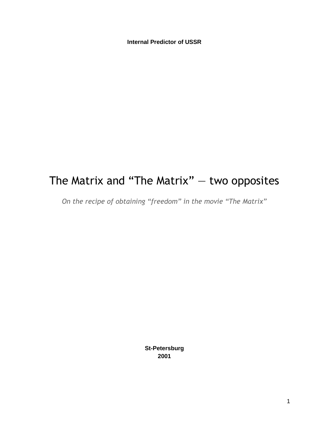**Internal Predictor of USSR**

# The Matrix and "The Matrix" — two opposites

*On the recipe of obtaining "freedom" in the movie "The Matrix"*

**St-Petersburg 2001**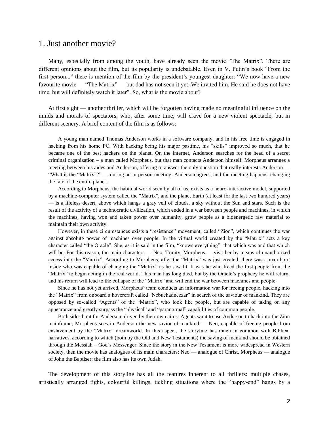#### 1. Just another movie?

Many, especially from among the youth, have already seen the movie "The Matrix". There are different opinions about the film, but its popularity is undebatable. Even in V. Putin's book "From the first person..." there is mention of the film by the president's youngest daughter: "We now have a new favourite movie — "The Matrix" — but dad has not seen it yet. We invited him. He said he does not have time, but will definitely watch it later". So, what is the movie about?

At first sight — another thriller, which will be forgotten having made no meaningful influence on the minds and morals of spectators, who, after some time, will crave for a new violent spectacle, but in different scenery. A brief content of the film is as follows:

A young man named Thomas Anderson works in a software company, and in his free time is engaged in hacking from his home PC. With hacking being his major pastime, his "skills" improved so much, that he became one of the best hackers on the planet. On the internet, Anderson searches for the head of a secret criminal organization – a man called Morpheus, but that man contacts Anderson himself. Morpheus arranges a meeting between his aides and Anderson, offering to answer the only question that really interests Anderson — "What is the "Matrix"?" — during an in-person meeting. Anderson agrees, and the meeting happens, changing the fate of the entire planet.

According to Morpheus, the habitual world seen by all of us, exists as a neuro-interactive model, supported by a machine-computer system called the "Matrix", and the planet Earth (at least for the last two hundred years) — is a lifeless desert, above which hangs a gray veil of clouds, a sky without the Sun and stars. Such is the result of the activity of a technocratic civilization, which ended in a war between people and machines, in which the machines, having won and taken power over humanity, grow people as a bioenergetic raw material to maintain their own activity.

However, in these circumstances exists a "resistance" movement, called "Zion", which continues the war against absolute power of machines over people. In the virtual world created by the "Matrix" acts a key character called "the Oracle". She, as it is said in the film, "knows everything": that which was and that which will be. For this reason, the main characters — Neo, Trinity, Morpheus — visit her by means of unauthorized access into the "Matrix". According to Morpheus, after the "Matrix" was just created, there was a man born inside who was capable of changing the "Matrix" as he saw fit. It was he who freed the first people from the "Matrix" to begin acting in the real world. This man has long died, but by the Oracle's prophecy he will return, and his return will lead to the collapse of the "Matrix" and will end the war between machines and people.

Since he has not yet arrived, Morpheus' team conducts an information war for freeing people, hacking into the "Matrix" from onboard a hovercraft called "Nebuchadnezzar" in search of the saviour of mankind. They are opposed by so-called "Agents" of the "Matrix", who look like people, but are capable of taking on any appearance and greatly surpass the "physical" and "paranormal" capabilities of common people.

Both sides hunt for Anderson, driven by their own aims: Agents want to use Anderson to hack into the Zion mainframe; Morpheus sees in Anderson the new savior of mankind — Neo, capable of freeing people from enslavement by the "Matrix" dreamworld. In this aspect, the storyline has much in common with Biblical narratives, according to which (both by the Old and New Testaments) the saving of mankind should be obtained through the Messiah – God's Messenger. Since the story in the New Testament is more widespread in Western society, then the movie has analogues of its main characters: Neo — analogue of Christ, Morpheus — analogue of John the Baptiser; the film also has its own Judah.

The development of this storyline has all the features inherent to all thrillers: multiple chases, artistically arranged fights, colourful killings, tickling situations where the "happy-end" hangs by a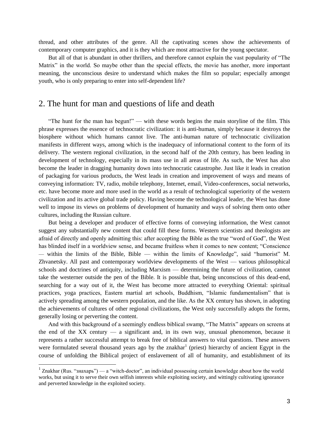thread, and other attributes of the genre. All the captivating scenes show the achievements of contemporary computer graphics, and it is they which are most attractive for the young spectator.

But all of that is abundant in other thrillers, and therefore cannot explain the vast popularity of "The Matrix" in the world. So maybe other than the special effects, the movie has another, more important meaning, the unconscious desire to understand which makes the film so popular; especially amongst youth, who is only preparing to enter into self-dependent life?

### 2. The hunt for man and questions of life and death

"The hunt for the man has begun!" — with these words begins the main storyline of the film. This phrase expresses the essence of technocratic civilization: it is anti-human, simply because it destroys the biosphere without which humans cannot live. The anti-human nature of technocratic civilization manifests in different ways, among which is the inadequacy of informational content to the form of its delivery. The western regional civilization, in the second half of the 20th century, has been leading in development of technology, especially in its mass use in all areas of life. As such, the West has also become the leader in dragging humanity down into technocratic catastrophe. Just like it leads in creation of packaging for various products, the West leads in creation and improvement of ways and means of conveying information: TV, radio, mobile telephony, Internet, email, Video-conferences, social networks, etc. have become more and more used in the world as a result of technological superiority of the western civilization and its active global trade policy. Having become the technological leader, the West has done well to impose its views on problems of development of humanity and ways of solving them onto other cultures, including the Russian culture.

But being a developer and producer of effective forms of conveying information, the West cannot suggest any substantially new content that could fill these forms. Western scientists and theologists are afraid of directly and openly admitting this: after accepting the Bible as the true "word of God", the West has blinded itself in a worldview sense, and became fruitless when it comes to new content; "Conscience" — within the limits of the Bible, Bible — within the limits of Knowledge", said "humorist" M. Zhvanetsky. All past and contemporary worldview developments of the West — various philosophical schools and doctrines of antiquity, including Marxism — determining the future of civilization, cannot take the westerner outside the pen of the Bible. It is possible that, being unconscious of this dead-end, searching for a way out of it, the West has become more attracted to everything Oriental: spiritual practices, yoga practices, Eastern martial art schools, Buddhism, "Islamic fundamentalism" that is actively spreading among the western population, and the like. As the XX century has shown, in adopting the achievements of cultures of other regional civilizations, the West only successfully adopts the forms, generally losing or perverting the content.

And with this background of a seemingly endless biblical swamp, "The Matrix" appears on screens at the end of the XX century — a significant and, in its own way, unusual phenomenon, because it represents a rather successful attempt to break free of biblical answers to vital questions. These answers were formulated several thousand years ago by the znakhar<sup>1</sup> (priest) hierarchy of ancient Egypt in the course of unfolding the Biblical project of enslavement of all of humanity, and establishment of its

 $\overline{a}$ 

<sup>&</sup>lt;sup>1</sup> Znakhar (Rus. "знахарь") — a "witch-doctor", an individual possessing certain knowledge about how the world works, but using it to serve their own selfish interests while exploiting society, and wittingly cultivating ignorance and perverted knowledge in the exploited society.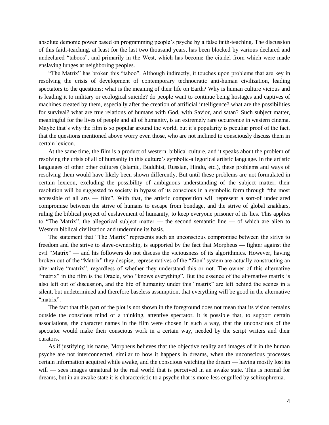absolute demonic power based on programming people's psyche by a false faith-teaching. The discussion of this faith-teaching, at least for the last two thousand years, has been blocked by various declared and undeclared "taboos", and primarily in the West, which has become the citadel from which were made enslaving lunges at neighboring peoples.

"The Matrix" has broken this "taboo". Although indirectly, it touches upon problems that are key in resolving the crisis of development of contemporary technocratic anti-human civilization, leading spectators to the questions: what is the meaning of their life on Earth? Why is human culture vicious and is leading it to military or ecological suicide? do people want to continue being hostages and captives of machines created by them, especially after the creation of artificial intelligence? what are the possibilities for survival? what are true relations of humans with God, with Savior, and satan? Such subject matter, meaningful for the lives of people and all of humanity, is an extremely rare occurrence in western cinema. Maybe that's why the film is so popular around the world, but it's popularity is peculiar proof of the fact, that the questions mentioned above worry even those, who are not inclined to consciously discuss them in certain lexicon.

At the same time, the film is a product of western, biblical culture, and it speaks about the problem of resolving the crisis of all of humanity in this culture's symbolic-allegorical artistic language. In the artistic languages of other other cultures (Islamic, Buddhist, Russian, Hindu, etc.), these problems and ways of resolving them would have likely been shown differently. But until these problems are not formulated in certain lexicon, excluding the possibility of ambiguous understanding of the subject matter, their resolution will be suggested to society in bypass of its conscious in a symbolic form through "the most accessible of all arts — film". With that, the artistic composition will represent a sort-of undeclared compromise between the strive of humans to escape from bondage, and the strive of global znakhars, ruling the biblical project of enslavement of humanity, to keep everyone prisoner of its lies. This applies to "The Matrix", the allegorical subject matter — the second semantic line — of which are alien to Western biblical civilization and undermine its basis.

The statement that "The Matrix" represents such an unconscious compromise between the strive to freedom and the strive to slave-ownership, is supported by the fact that Morpheus — fighter against the evil "Matrix" — and his followers do not discuss the viciousness of its algorithmics. However, having broken out of the "Matrix" they despise, representatives of the "Zion" system are actually constructing an alternative "matrix", regardless of whether they understand this or not. The owner of this alternative "matrix" in the film is the Oracle, who "knows everything". But the essence of the alternative matrix is also left out of discussion, and the life of humanity under this "matrix" are left behind the scenes in a silent, but undetermined and therefore baseless assumption, that everything will be good in the alternative "matrix".

The fact that this part of the plot is not shown in the foreground does not mean that its vision remains outside the conscious mind of a thinking, attentive spectator. It is possible that, to support certain associations, the character names in the film were chosen in such a way, that the unconscious of the spectator would make their conscious work in a certain way, needed by the script writers and their curators.

As if justifying his name, Morpheus believes that the objective reality and images of it in the human psyche are not interconnected, similar to how it happens in dreams, when the unconscious processes certain information acquired while awake, and the conscious watching the dream — having mostly lost its will — sees images unnatural to the real world that is perceived in an awake state. This is normal for dreams, but in an awake state it is characteristic to a psyche that is more-less engulfed by schizophrenia.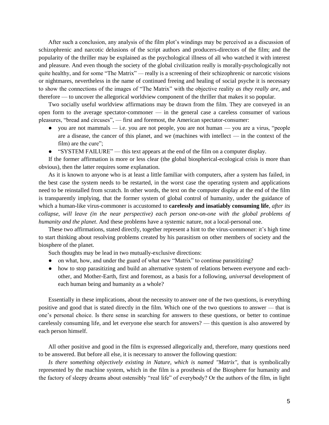After such a conclusion, any analysis of the film plot's windings may be perceived as a discussion of schizophrenic and narcotic delusions of the script authors and producers-directors of the film; and the popularity of the thriller may be explained as the psychological illness of all who watched it with interest and pleasure. And even though the society of the global civilization really is morally-psychologically not quite healthy, and for some "The Matrix" — really is a screening of their schizophrenic or narcotic visions or nightmares, nevertheless in the name of continued freeing and healing of social psyche it is necessary to show the connections of the images of "The Matrix" with the objective reality *as they really are*, and therefore — to uncover the allegorical worldview component of the thriller that makes it so popular.

Two socially useful worldview affirmations may be drawn from the film. They are conveyed in an open form to the average spectator-commoner — in the general case a careless consumer of various pleasures, "bread and circuses", — first and foremost, the American spectator-consumer:

- $\bullet$  you are not mammals i.e. you are not people, you are not human you are a virus, "people are a disease, the cancer of this planet, and we (machines with intellect — in the context of the film) are the cure";
- $\bullet$  "SYSTEM FAILURE" this text appears at the end of the film on a computer display.

If the former affirmation is more or less clear (the global biospherical-ecological crisis is more than obvious), then the latter requires some explanation.

As it is known to anyone who is at least a little familiar with computers, after a system has failed, in the best case the system needs to be restarted, in the worst case the operating system and applications need to be reinstalled from scratch. In other words, the text on the computer display at the end of the film is transparently implying, that the former system of global control of humanity, under the guidance of which a human-like virus-commoner is accustomed to **carelessly and insatiably consuming life**, *after its collapse, will leave (in the near perspective) each person one-on-one with the global problems of humanity and the planet*. And these problems have a systemic nature, not a local-personal one.

These two affirmations, stated directly, together represent a hint to the virus-commoner: it's high time to start thinking about resolving problems created by his parasitism on other members of society and the biosphere of the planet.

Such thoughts may be lead in two mutually-exclusive directions:

- on what, how, and under the guard of what new "Matrix" to continue parasitizing?
- how to stop parasitizing and build an alternative system of relations between everyone and eachother, and Mother-Earth, first and foremost, as a basis for a following, *universal* development of each human being and humanity as a whole?

Essentially in these implications, about the necessity to answer one of the two questions, is everything positive and good that is stated directly in the film. Which one of the two questions to answer — that is one's personal choice. Is there sense in searching for answers to these questions, or better to continue carelessly consuming life, and let everyone else search for answers? — this question is also answered by each person himself.

All other positive and good in the film is expressed allegorically and, therefore, many questions need to be answered. But before all else, it is necessary to answer the following question:

Is there something objectively existing in Nature, which is named "Matrix", that is symbolically represented by the machine system, which in the film is a prosthesis of the Biosphere for humanity and the factory of sleepy dreams about ostensibly "real life" of everybody? Or the authors of the film, in light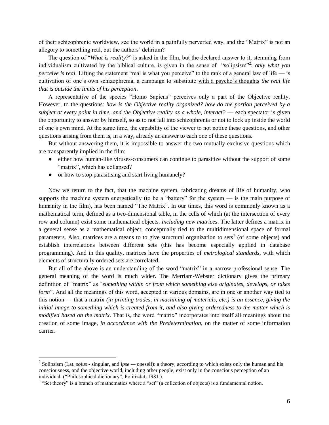of their schizophrenic worldview, see the world in a painfully perverted way, and the "Matrix" is not an allegory to something real, but the authors' delirium?

The question of "*What is reality?*" is asked in the film, but the declared answer to it, stemming from individualism cultivated by the biblical culture, is given in the sense of "solipsism"<sup>2</sup>: *only what you perceive is real.* Lifting the statement "real is what you perceive" to the rank of a general law of life — is cultivation of one's own schizophrenia, a campaign to substitute with a psycho's thoughts *the real life that is outside the limits of his perception*.

A representative of the species "Homo Sapiens" perceives only a part of the Objective reality. However, to the questions: *how is the Objective reality organized? how do the portion perceived by a subject at every point in time, and the Objective reality as a whole, interact?* — each spectator is given the opportunity to answer by himself, so as to not fall into schizophrenia or not to lock up inside the world of one's own mind. At the same time, the capability of the viewer to not notice these questions, and other questions arising from them is, in a way, already an answer to each one of these questions.

But without answering them, it is impossible to answer the two mutually-exclusive questions which are transparently implied in the film:

- either how human-like viruses-consumers can continue to parasitize without the support of some "matrix", which has collapsed?
- or how to stop parasitising and start living humanely?

Now we return to the fact, that the machine system, fabricating dreams of life of humanity, who supports the machine system energetically (to be a "battery" for the system  $-$  is the main purpose of humanity in the film), has been named "The Matrix". In our times, this word is commonly known as a mathematical term, defined as a two-dimensional table, in the cells of which (at the intersection of every row and column) exist some mathematical objects, *including new matrices*. The latter defines a matrix in a general sense as a mathematical object, conceptually tied to the multidimensional space of formal parameters. Also, matrices are a means to to give structural organization to sets<sup>3</sup> (of some objects) and establish interrelations between different sets (this has become especially applied in database programming). And in this quality, matrices have the properties of *metrological standards*, with which elements of structurally ordered sets are correlated.

But all of the above is an understanding of the word "matrix" in a narrow professional sense. The general meaning of the word is much wider. The Merriam-Webster dictionary gives the primary definition of "matrix" as "*something within or from which something else originates, develops, or takes form*". And all the meanings of this word, accepted in various domains, are in one or another way tied to this notion — that a matrix *(in printing trades, in machining of materials, etc.) is an essence, giving the initial image to something which is created from it, and also giving orderedness to the matter which is modified based on the matrix*. That is, the word "matrix" incorporates into itself all meanings about the creation of some image, *in accordance with the Predetermination*, on the matter of some information carrier.

<sup>&</sup>lt;sup>2</sup> Solipsism (Lat. *solus* - singular, and *ipse* — oneself): a theory, according to which exists only the human and his consciousness, and the objective world, including other people, exist only in the conscious perception of an individual. ("Philosophical dictionary", Politizdat, 1981.).

 $3$  "Set theory" is a branch of mathematics where a "set" (a collection of objects) is a fundamental notion.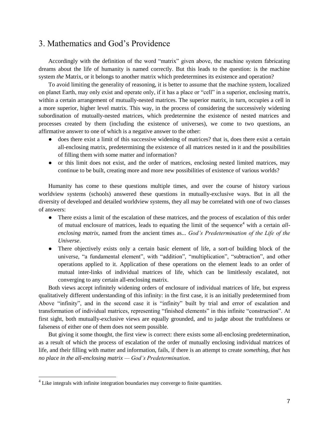### 3. Mathematics and God's Providence

Accordingly with the definition of the word "matrix" given above, the machine system fabricating dreams about the life of humanity is named correctly. But this leads to the question: is the machine system *the* Matrix, or it belongs to another matrix which predetermines its existence and operation?

To avoid limiting the generality of reasoning, it is better to assume that the machine system, localized on planet Earth, may only exist and operate only, if it has a place or "cell" in a superior, enclosing matrix, within a certain arrangement of mutually-nested matrices. The superior matrix, in turn, occupies a cell in a more superior, higher level matrix. This way, in the process of considering the successively widening subordination of mutually-nested matrices, which predetermine the existence of nested matrices and processes created by them (including the existence of universes), we come to two questions, an affirmative answer to one of which is a negative answer to the other:

- does there exist a limit of this successive widening of matrices? that is, does there exist a certain all-enclosing matrix, predetermining the existence of all matrices nested in it and the possibilities of filling them with some matter and information?
- or this limit does not exist, and the order of matrices, enclosing nested limited matrices, may continue to be built, creating more and more new possibilities of existence of various worlds?

Humanity has come to these questions multiple times, and over the course of history various worldview systems (schools) answered these questions in mutually-exclusive ways. But in all the diversity of developed and detailed worldview systems, they all may be correlated with one of two classes of answers:

- There exists a limit of the escalation of these matrices, and the process of escalation of this order of mutual enclosure of matrices, leads to equating the limit of the sequence<sup>4</sup> with a certain *allenclosing matrix*, named from the ancient times as... *God's Predetermination of the Life of the Universe*.
- There objectively exists only a certain basic element of life, a sort-of building block of the universe, "a fundamental element", with "addition", "multiplication", "subtraction", and other operations applied to it. Application of these operations on the element leads to an order of mutual inter-links of individual matrices of life, which can be limitlessly escalated, not converging to any certain all-enclosing matrix.

Both views accept infinitely widening orders of enclosure of individual matrices of life, but express qualitatively different understanding of this infinity: in the first case, it is an initially predetermined from Above "infinity", and in the second case it is "infinity" built by trial and error of escalation and transformation of individual matrices, representing "finished elements" in this infinite "construction". At first sight, both mutually-exclusive views are equally grounded, and to judge about the truthfulness or falseness of either one of them does not seem possible.

But giving it some thought, the first view is correct: there exists some all-enclosing predetermination, as a result of which the process of escalation of the order of mutually enclosing individual matrices of life, and their filling with matter and information, fails, if there is an attempt to create *something, that has no place in the all-enclosing matrix — God's Predetermination*.

 $4$  Like integrals with infinite integration boundaries may converge to finite quantities.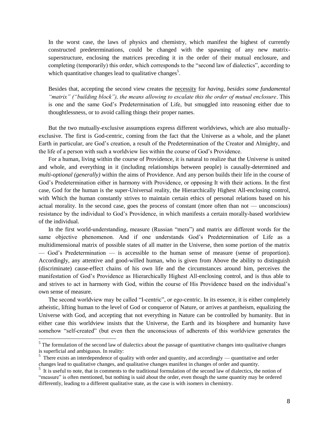In the worst case, the laws of physics and chemistry, which manifest the highest of currently constructed predeterminations, could be changed with the spawning of any new matrixsuperstructure, enclosing the matrices preceding it in the order of their mutual enclosure, and completing (temporarily) this order, which corresponds to the "second law of dialectics", according to which quantitative changes lead to qualitative changes<sup>5</sup>.

Besides that, accepting the second view creates the necessity for *having, besides some fundamental "matrix" ("building block"), the means allowing to escalate this the order of mutual enclosure*. This is one and the same God's Predetermination of Life, but smuggled into reasoning either due to thoughtlessness, or to avoid calling things their proper names.

But the two mutually-exclusive assumptions express different worldviews, which are also mutuallyexclusive. The first is God-centric, coming from the fact that the Universe as a whole, and the planet Earth in particular, are God's creation, a result of the Predetermination of the Creator and Almighty, and the life of a person with such a worldview lies within the course of God's Providence.

For a human, living within the course of Providence, it is natural to realize that the Universe is united and whole, and everything in it (including relationships between people) is causally-determined and *multi-optional (generally)* within the aims of Providence. And any person builds their life in the course of God's Predetermination either in harmony with Providence, or opposing It with their actions. In the first case, God for the human is the super-Universal reality, the Hierarchically Highest All-enclosing control, with Which the human constantly strives to maintain certain ethics of personal relations based on his actual morality. In the second case, goes the process of constant (more often than not — unconscious) resistance by the individual to God's Providence, in which manifests a certain morally-based worldview of the individual.

In the first world-understanding, measure (Russian "mera") and matrix are different words for the same objective phenomenon. And if one understands God's Predetermination of Life as a multidimensional matrix of possible states of all matter in the Universe, then some portion of the matrix — God's Predetermination — is accessible to the human sense of measure (sense of proportion). Accordingly, any attentive and good-willed human, who is given from Above the ability to distinguish (discriminate) cause-effect chains of his own life and the circumstances around him, perceives the manifestation of God's Providence as Hierarchically Highest All-enclosing control, and is thus able to and strives to act in harmony with God, within the course of His Providence based on the individual's own sense of measure.

The second worldview may be called "I-centric", or ego-centric. In its essence, it is either completely atheistic, lifting human to the level of God or conqueror of Nature, or arrives at pantheism, equalizing the Universe with God, and accepting that not everything in Nature can be controlled by humanity. But in either case this worldview insists that the Universe, the Earth and its biosphere and humanity have somehow "self-created" (but even then the unconscious of adherents of this worldview generates the

 $\overline{a}$ 

 $<sup>5</sup>$  The formulation of the second law of dialectics about the passage of quantitative changes into qualitative changes</sup> is superficial and ambiguous. In reality:

 $5$  There exists an interdependence of quality with order and quantity, and accordingly — quantitative and order changes lead to qualitative changes, and qualitative changes manifest in changes of order and quantity.

<sup>&</sup>lt;sup>5</sup> It is useful to note, that in comments to the traditional formulation of the second law of dialectics, the notion of "measure" is often mentioned, but nothing is said about the order, even though the same quantity may be ordered differently, leading to a different qualitative state, as the case is with isomers in chemistry.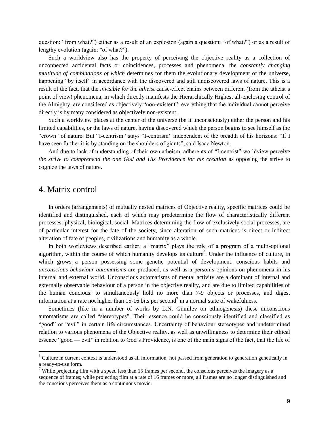question: "from what?") either as a result of an explosion (again a question: "of what?") or as a result of lengthy evolution (again: "of what?").

Such a worldview also has the property of perceiving the objective reality as a collection of unconnected accidental facts or coincidences, processes and phenomena, the *constantly changing multitude of combinations of which* determines for them the evolutionary development of the universe, happening "by itself" in accordance with the discovered and still undiscovered laws of nature. This is a result of the fact, that the *invisible for the atheist* cause-effect chains between different (from the atheist's point of view) phenomena, in which directly manifests the Hierarchically Highest all-enclosing control of the Almighty, are considered as objectively "non-existent": everything that the individual cannot perceive directly is by many considered as objectively non-existent.

Such a worldview places at the center of the universe (be it unconsciously) either the person and his limited capabilities, or the laws of nature, having discovered which the person begins to see himself as the "crown" of nature. But "I-centrism" stays "I-centrism" independent of the breadth of his horizons: "If I have seen further it is by standing on the shoulders of giants", said Isaac Newton.

And due to lack of understanding of their own atheism, adherents of "I-centrist" worldview perceive *the strive to comprehend the one God and His Providence for his creation* as opposing the strive to cognize the laws of nature.

#### 4. Matrix control

In orders (arrangements) of mutually nested matrices of Objective reality, specific matrices could be identified and distinguished, each of which may predetermine the flow of characteristically different processes: physical, biological, social. Matrices determining the flow of exclusively social processes, are of particular interest for the fate of the society, since alteration of such matrices is direct or indirect alteration of fate of peoples, civilizations and humanity as a whole.

In both worldviews described earlier, a "matrix" plays the role of a program of a multi-optional algorithm, within the course of which humanity develops its culture<sup>6</sup>. Under the influence of culture, in which grows a person possessing some genetic potential of development, conscious habits and *unconscious behaviour automatisms* are produced, as well as a person's opinions on phenomena in his internal and external world. Unconscious automatisms of mental activity are a dominant of internal and externally observable behaviour of a person in the objective reality, and are due to limited capabilities of the human concious: to simultaneously hold no more than 7-9 objects or processes, and digest information at a rate not higher than 15-16 bits per second<sup>7</sup> in a normal state of wakefulness.

Sometimes (like in a number of works by L.N. Gumilev on ethnogenesis) these unconscious automatisms are called "stereotypes". Their essence could be consciously identified and classified as "good" or "evil" in certain life circumstances. Uncertainty of behaviour stereotypes and undetermined relation to various phenomena of the Objective reality, as well as unwillingness to determine their ethical essence "good — evil" in relation to God's Providence, is one of the main signs of the fact, that the life of

 $6$  Culture in current context is understood as all information, not passed from generation to generation genetically in a ready-to-use form.

<sup>&</sup>lt;sup>7</sup> While projecting film with a speed less than 15 frames per second, the conscious perceives the imagery as a sequence of frames; while projecting film at a rate of 16 frames or more, all frames are no longer distinguished and the conscious perceives them as a continuous movie.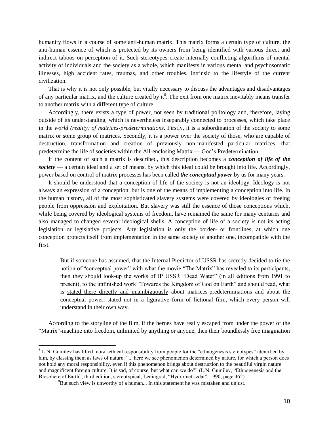humanity flows in a course of some anti-human matrix. This matrix forms a certain type of culture, the anti-human essence of which is protected by its owners from being identified with various direct and indirect taboos on perception of it. Such stereotypes create internally conflicting algorithms of mental activity of individuals and the society as a whole, which manifests in various mental and psychosomatic illnesses, high accident rates, traumas, and other troubles, intrinsic to the lifestyle of the current civilization.

That is why it is not only possible, but vitally necessary to discuss the advantages and disadvantages of any particular matrix, and the culture created by  $it^8$ . The exit from one matrix inevitably means transfer to another matrix with a different type of culture.

Accordingly, there exists a type of power, not seen by traditional politology and, therefore, laying outside of its understanding, which is nevertheless inseparably connected to processes, which take place in the *world (reality) of matrices-predeterminations*. Firstly, it is a subordination of the society to some matrix or some group of matrices. Secondly, it is a power over the society of those, who are capable of destruction, transformation and creation of previously non-manifested particular matrices, that predetermine the life of societies within the All-enclosing Matrix — God's Predetermination.

If the content of such a matrix is described, this description becomes a *conception of life of the society* — a certain ideal and a set of means, by which this ideal could be brought into life. Accordingly, power based on control of matrix processes has been called *the conceptual power* by us for many years.

It should be understood that a conception of life of the society is not an ideology. Ideology is not always an expression of a conception, but is one of the means of implementing a conception into life. In the human history, all of the most sophisticated slavery systems were covered by ideologies of freeing people from oppression and exploitation. But slavery was still the essence of those conceptions which, while being covered by ideological systems of freedom, have remained the same for many centuries and also managed to changed several ideological shells. A conception of life of a society is not its acting legislation or legislative projects. Any legislation is only the border- or frontlines, at which one conception protects itself from implementation in the same society of another one, incompatible with the first.

But if someone has assumed, that the Internal Predictor of USSR has secretly decided to tie the notion of "conceptual power" with what the movie "The Matrix" has revealed to its participants, then they should look-up the works of IP USSR "Dead Water" (in all editions from 1991 to present), to the unfinished work "Towards the Kingdom of God on Earth" and should read, what is stated there directly and unambiguously about matrices-predeterminations and about the conceptual power; stated not in a figurative form of fictional film, which every person will understand in their own way.

According to the storyline of the film, if the heroes have really escaped from under the power of the ―Matrix‖-machine into freedom, unlimited by anything or anyone, then their boundlessly free imagination

 $\overline{a}$ 

 $8$  L.N. Gumilev has lifted moral-ethical responsibility from people for the "ethnogenesis stereotypes" identified by him, by classing them as laws of nature: "... here we see phenomenon determined by nature, for which a person does not hold any moral responsibility, even if this phenomenon brings about destruction to the beautiful virgin nature and magnificent foreign culture. It is sad, of course, but what can we do?" (L.N. Gumilev, "Ethnogenesis and the Biosphere of Earth", third edition, stereotypical, Leningrad, "Hydromet-izdat", 1990, page 462).

<sup>&</sup>lt;sup>8</sup>But such view is unworthy of a human... In this statement he was mistaken and unjust.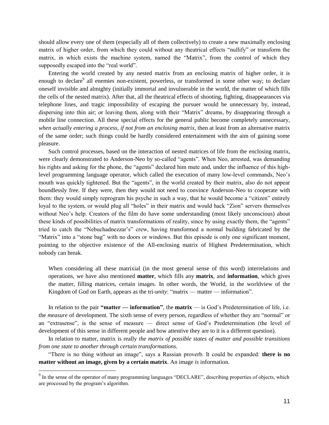should allow every one of them (especially all of them collectively) to create a new maximally enclosing matrix of higher order, from which they could without any theatrical effects "nullify" or transform the matrix, in which exists the machine system, named the "Matrix", from the control of which they supposedly escaped into the "real world".

Entering the world created by any nested matrix from an enclosing matrix of higher order, it is enough to declare<sup>9</sup> all enemies non-existent, powerless, or transformed in some other way; to declare oneself invisible and almighty (initially immortal and invulnerable in the world, the matter of which fills the cells of the nested matrix). After that, all the theatrical effects of shooting, fighting, disappearances via telephone lines, and tragic impossibility of escaping the pursuer would be unnecessary by, instead, dispersing into thin air; or leaving them, along with their "Matrix" dreams, by disappearing through a mobile line connection. All these special effects for the general public become completely unnecessary, *when actually entering a process, if not from an enclosing matrix*, then at least from an alternative matrix of the same order; such things could be hardly considered entertainment with the aim of gaining some pleasure.

Such control processes, based on the interaction of nested matrices of life from the enclosing matrix, were clearly demonstrated to Anderson-Neo by so-called "agents". When Neo, arrested, was demanding his rights and asking for the phone, the "agents" declared him mute and, under the influence of this highlevel programming language operator, which called the execution of many low-level commands, Neo's mouth was quickly tightened. But the "agents", in the world created by their matrix, also do not appear boundlessly free. If they were, then they would not need to convince Anderson-Neo to cooperate with them: they would simply reprogram his psyche in such a way, that he would become a "citizen" entirely loyal to the system, or would plug all "holes" in their matrix and would hack "Zion" servers themselves without Neo's help. Creators of the film do have some understanding (most likely unconscious) about these kinds of possibilities of matrix transformations of reality, since by using exactly them, the "agents" tried to catch the "Nebuchadnezzar's" crew, having transformed a normal building fabricated by the "Matrix" into a "stone bag" with no doors or windows. But this episode is only one significant moment, pointing to the objective existence of the All-enclosing matrix of Highest Predetermination, which nobody can break.

When considering all these matrixial (in the most general sense of this word) interrelations and operations, we have also mentioned **matter**, which fills any **matrix**, and **information**, which gives the matter, filling matrices, certain images. In other words, the World, in the worldview of the Kingdom of God on Earth, appears as the tri-*unity*: "matrix — matter — information".

In relation to the pair **"matter — information"**, the **matrix** — is God's Predetermination of life, i.e. the *measure* of development. The sixth sense of every person, regardless of whether they are "normal" or an "extrasense", is the sense of measure — direct sense of God's Predetermination (the level of development of this sense in different people and how attentive they are to it is a different question).

In relation to matter, matrix is really *the matrix of possible states of matter and possible transitions from one state to another through certain transformations.*

"There is no thing without an image", says a Russian proverb. It could be expanded: **there is no matter without an image, given by a certain matrix**. An image *is* information.

 $9^9$  In the sense of the operator of many programming languages "DECLARE", describing properties of objects, which are processed by the program's algorithm.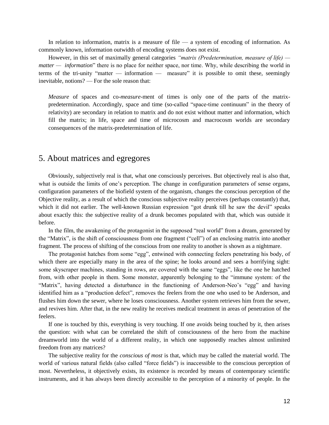In relation to information, matrix is a measure of file  $-$  a system of encoding of information. As commonly known, information outwidth of encoding systems does not exist.

However, in this set of maximally general categories *"matrix (Predetermination, measure of life) matter — information*" there is no place for neither space, nor time. Why, while describing the world in terms of the tri-unity "matter  $-$  information  $-$  measure" it is possible to omit these, seemingly inevitable, notions? — For the sole reason that:

*Measure* of spaces and co-*measure*-ment of times is only one of the parts of the matrixpredetermination. Accordingly, space and time (so-called "space-time continuum" in the theory of relativity) are secondary in relation to matrix and do not exist without matter and information, which fill the matrix; in life, space and time of microcosm and macrocosm worlds are secondary consequences of the matrix-predetermination of life.

#### 5. About matrices and egregores

Obviously, subjectively real is that, what one consciously perceives. But objectively real is also that, what is outside the limits of one's perception. The change in configuration parameters of sense organs, configuration parameters of the biofield system of the organism, changes the conscious perception of the Objective reality, as a result of which the conscious subjective reality perceives (perhaps constantly) that, which it did not earlier. The well-known Russian expression "got drunk till he saw the devil" speaks about exactly this: the subjective reality of a drunk becomes populated with that, which was outside it before.

In the film, the awakening of the protagonist in the supposed "real world" from a dream, generated by the "Matrix", is the shift of consciousness from one fragment ("cell") of an enclosing matrix into another fragment. The process of shifting of the conscious from one reality to another is shown as a nightmare.

The protagonist hatches from some "egg", entwined with connecting feelers penetrating his body, of which there are especially many in the area of the spine; he looks around and sees a horrifying sight: some skyscraper machines, standing in rows, are covered with the same "eggs", like the one he hatched from, with other people in them. Some monster, apparently belonging to the "immune system: of the "Matrix", having detected a disturbance in the functioning of Anderson-Neo's "egg" and having identified him as a "production defect", removes the feelers from the one who used to be Anderson, and flushes him down the sewer, where he loses consciousness. Another system retrieves him from the sewer, and revives him. After that, in the new reality he receives medical treatment in areas of penetration of the feelers.

If one is touched by this, everything is very touching. If one avoids being touched by it, then arises the question: with what can be correlated the shift of consciousness of the hero from the machine dreamworld into the world of a different reality, in which one supposedly reaches almost unlimited freedom from any matrices?

The subjective reality for the *conscious of most* is that, which may be called the material world. The world of various natural fields (also called "force fields") is inaccessible to the conscious perception of most. Nevertheless, it objectively exists, its existence is recorded by means of contemporary scientific instruments, and it has always been directly accessible to the perception of a minority of people. In the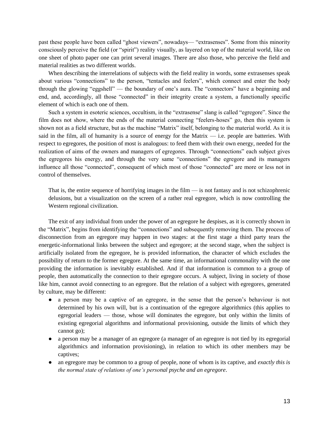past these people have been called "ghost viewers", nowadays— "extrasenses". Some from this minority consciously perceive the field (or "spirit") reality visually, as layered on top of the material world, like on one sheet of photo paper one can print several images. There are also those, who perceive the field and material realities as two different worlds.

When describing the interrelations of subjects with the field reality in words, some extrasenses speak about various "connections" to the person, "tentacles and feelers", which connect and enter the body through the glowing "eggshell" — the boundary of one's aura. The "connectors" have a beginning and end, and, accordingly, all those "connected" in their integrity create a system, a functionally specific element of which is each one of them.

Such a system in esoteric sciences, occultism, in the "extrasense" slang is called "egregore". Since the film does not show, where the ends of the material connecting "feelers-hoses" go, then this system is shown not as a field structure, but as the machine "Matrix" itself, belonging to the material world. As it is said in the film, all of humanity is a source of energy for the Matrix  $-$  i.e. people are batteries. With respect to egregores, the position of most is analogous: to feed them with their own energy, needed for the realization of aims of the owners and managers of egregores. Through "connections" each subject gives the egregores his energy, and through the very same "connections" the egregore and its managers influence all those "connected", consequent of which most of those "connected" are more or less not in control of themselves.

That is, the entire sequence of horrifying images in the film — is not fantasy and is not schizophrenic delusions, but a visualization on the screen of a rather real egregore, which is now controlling the Western regional civilization.

The exit of any individual from under the power of an egregore he despises, as it is correctly shown in the "Matrix", begins from identifying the "connections" and subsequently removing them. The process of disconnection from an egregore may happen in two stages: at the first stage a third party tears the energetic-informational links between the subject and egregore; at the second stage, when the subject is artificially isolated from the egregore, he is provided information, the character of which excludes the possibility of return to the former egregore. At the same time, an informational commonality with the one providing the information is inevitably established. And if that information is common to a group of people, then automatically the connection to their egregore occurs. A subject, living in society of those like him, cannot avoid connecting to an egregore. But the relation of a subject with egregores, generated by culture, may be different:

- a person may be a captive of an egregore, in the sense that the person's behaviour is not determined by his own will, but is a continuation of the egregore algorithmics (this applies to egregorial leaders — those, whose will dominates the egregore, but only within the limits of existing egregorial algorithms and informational provisioning, outside the limits of which they cannot go);
- a person may be a manager of an egregore (a manager of an egregore is not tied by its egregorial algorithmics and information provisioning), in relation to which its other members may be captives;
- an egregore may be common to a group of people, none of whom is its captive, and *exactly this is the normal state of relations of one's personal psyche and an egregore*.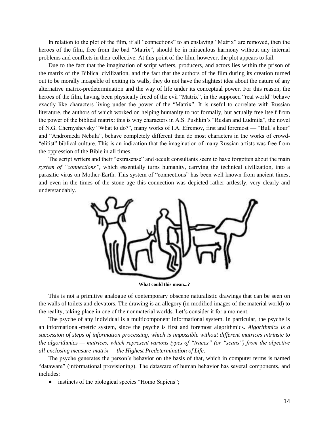In relation to the plot of the film, if all "connections" to an enslaving "Matrix" are removed, then the heroes of the film, free from the bad "Matrix", should be in miraculous harmony without any internal problems and conflicts in their collective. At this point of the film, however, the plot appears to fail.

Due to the fact that the imagination of script writers, producers, and actors lies within the prison of the matrix of the Biblical civilization, and the fact that the authors of the film during its creation turned out to be morally incapable of exiting its walls, they do not have the slightest idea about the nature of any alternative matrix-predetermination and the way of life under its conceptual power. For this reason, the heroes of the film, having been physically freed of the evil "Matrix", in the supposed "real world" behave exactly like characters living under the power of the "Matrix". It is useful to correlate with Russian literature, the authors of which worked on helping humanity to not formally, but actually free itself from the power of the biblical matrix: this is why characters in A.S. Pushkin's "Ruslan and Ludmila", the novel of N.G. Chernyshevsky "What to do?", many works of I.A. Efremov, first and foremost — "Bull's hour" and "Andromeda Nebula", behave completely different than do most characters in the works of crowd-―elitist‖ biblical culture. This is an indication that the imagination of many Russian artists was free from the oppression of the Bible in all times.

The script writers and their "extrasense" and occult consultants seem to have forgotten about the main *system of "connections"*, which essentially turns humanity, carrying the technical civilization, into a parasitic virus on Mother-Earth. This system of "connections" has been well known from ancient times, and even in the times of the stone age this connection was depicted rather artlessly, very clearly and understandably.



**What could this mean...?**

This is not a primitive analogue of contemporary obscene naturalistic drawings that can be seen on the walls of toilets and elevators. The drawing is an allegory (in modified images of the material world) to the reality, taking place in one of the nonmaterial worlds. Let's consider it for a moment.

The psyche of any individual is a multicomponent informational system. In particular, the psyche is an informational-metric system, since the psyche is first and foremost algorithmics. *Algorithmics is a succession of steps of information processing, which is impossible without different matrices intrinsic to the algorithmics — matrices, which represent various types of "traces" (or "scans") from the objective all-enclosing measure-matrix — the Highest Predetermination of Life*.

The psyche generates the person's behavior on the basis of that, which in computer terms is named ―dataware‖ (informational provisioning). The dataware of human behavior has several components, and includes:

• instincts of the biological species "Homo Sapiens";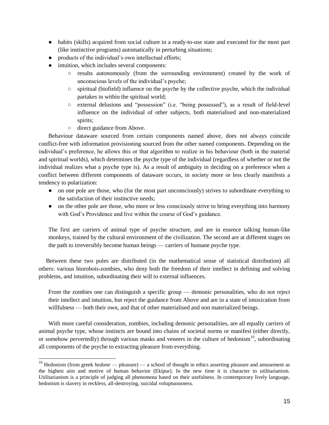- habits (skills) acquired from social culture in a ready-to-use state and executed for the most part (like instinctive programs) automatically in perturbing situations;
- products of the individual's own intellectual efforts;
- intuition, which includes several components:
	- results autonomously (from the surrounding environment) created by the work of unconscious levels of the individual's psyche;
	- $\circ$  spiritual (biofield) influence on the psyche by the collective psyche, which the individual partakes in within the spiritual world;
	- o external delusions and "possession" (i.e. "being possessed"), as a result of field-level influence on the individual of other subjects, both materialised and non-materialized spirits;
	- direct guidance from Above.

Behaviour dataware sourced from certain components named above, does not always coincide conflict-free with information provisioning sourced from the other named components. Depending on the individual's preference, he allows this or that algorithm to realize in his behaviour (both in the material and spiritual worlds), which determines the psyche type of the individual (regardless of whether or not the individual realizes what a psyche type is). As a result of ambiguity in deciding on a preference when a conflict between different components of dataware occurs, in society more or less clearly manifests a tendency to polarization:

- on one pole are those, who (for the most part unconsciously) strives to subordinate everything to the satisfaction of their instinctive needs;
- on the other pole are those, who more or less consciously strive to bring everything into harmony with God's Providence and live within the course of God's guidance.

The first are carriers of animal type of psyche structure, and are in essence talking human-like monkeys, trained by the cultural environment of the civilization. The second are at different stages on the path to irreversibly become human beings — carriers of humane psyche type.

Between these two poles are distributed (in the mathematical sense of statistical distribution) all others: various biorobots-zombies, who deny both the freedom of their intellect in defining and solving problems, and intuition, subordinating their will to external influences.

From the zombies one can distinguish a specific group — demonic personalities, who do not reject their intellect and intuition, but reject the guidance from Above and are in a state of intoxication from willfulness — both their own, and that of other materialised and non materialized beings.

With more careful consideration, zombies, including demonic personalities, are all equally carriers of animal psyche type, whose instincts are bound into chains of societal norms or manifest (either directly, or somehow pervertedly) through various masks and veneers in the culture of hedonism<sup>10</sup>, subordinating all components of the psyche to extracting pleasure from everything.

<sup>&</sup>lt;sup>10</sup> Hedonism (from greek *hedone* — pleasure) — a school of thought in ethics asserting pleasure and amusement as the highest aim and motive of human behavior (Ekipur). In the new time it is character to utilitarianism. Utilitarianism is a principle of judging all phenomena based on their usefulness. In contemporary lively language, hedonism is slavery in reckless, all-destroying, suicidal voluptuousness.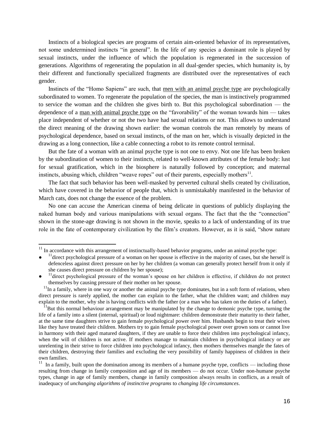Instincts of a biological species are programs of certain aim-oriented behavior of its representatives, not some undetermined instincts "in general". In the life of any species a dominant role is played by sexual instincts, under the influence of which the population is regenerated in the succession of generations. Algorithms of regenerating the population in all dual-gender species, which humanity is, by their different and functionally specialized fragments are distributed over the representatives of each gender.

Instincts of the "Homo Sapiens" are such, that men with an animal psyche type are psychologically subordinated to women. To regenerate the population of the species, the man is instinctively programmed to service the woman and the children she gives birth to. But this psychological subordination — the dependence of a man with animal psyche type on the "favorability" of the woman towards him  $-$  takes place independent of whether or not the two have had sexual relations or not. This allows to understand the direct meaning of the drawing shown earlier: the woman controls the man remotely by means of psychological dependence, based on sexual instincts, of the man on her, which is visually depicted in the drawing as a long connection, like a cable connecting a robot to its remote control terminal.

But the fate of a woman with an animal psyche type is not one to envy. Not one life has been broken by the subordination of women to their instincts, related to well-known attributes of the female body: lust for sexual gratification, which in the biosphere is naturally followed by conception; and maternal instincts, abusing which, children "weave ropes" out of their parents, especially mothers $<sup>11</sup>$ .</sup>

The fact that such behavior has been well-masked by perverted cultural shells created by civilization, which have covered in the behavior of people that, which is unmistakably manifested in the behavior of March cats, does not change the essence of the problem.

No one can accuse the American cinema of being delicate in questions of publicly displaying the naked human body and various manipulations with sexual organs. The fact that the the "connection" shown in the stone-age drawing is not shown in the movie, speaks to a lack of understanding of its true role in the fate of contemporary civilization by the film's creators. However, as it is said, "show nature"

 $\overline{a}$ 

 $11$  In accordance with this arrangement of instinctually-based behavior programs, under an animal psyche type:

 $\bullet$  $11$  direct psychological pressure of a woman on her spouse is effective in the majority of cases, but she herself is defenceless against direct pressure on her by her children (a woman can generally protect herself from it only if she causes direct pressure on children by her spouse);

<sup>●</sup>  $11$ direct psychological pressure of the woman's spouse on her children is effective, if children do not protect themselves by causing pressure of their mother on her spouse.

 $11$ In a family, where in one way or another the animal psyche type dominates, but in a soft form of relations, when direct pressure is rarely applied, the mother can explain to the father, what the children want; and children may explain to the mother, why she is having conflicts with the father (or a man who has taken on the duties of a father).

 $11$ But this normal behaviour arrangement may be manipulated by the change to demonic psyche type, turning the life of a family into a silent (internal, spiritual) or loud nightmare: children demonstrate their maturity to their father, at the same time daughters strive to gain female psychological power over him. Husbands begin to treat their wives like they have treated their children. Mothers try to gain female psychological power over grown sons or cannot live in harmony with their aged matured daughters, if they are unable to force their children into psychological infancy, when the will of children is not active. If mothers manage to maintain children in psychological infancy or are unrelenting in their strive to force children into psychological infancy, then mothers themselves mangle the fates of their children, destroying their families and excluding the very possibility of family happiness of children in their own families.

<sup>&</sup>lt;sup>11</sup> In a family, built upon the domination among its members of a humane psyche type, conflicts — including those resulting from change in family composition and age of its members — do not occur. Under non-humane psyche types, change in age of family members, change in family composition always results in conflicts, as a result of inadequacy of *unchanging algorithms of instinctive programs* to *changing life circumstances*.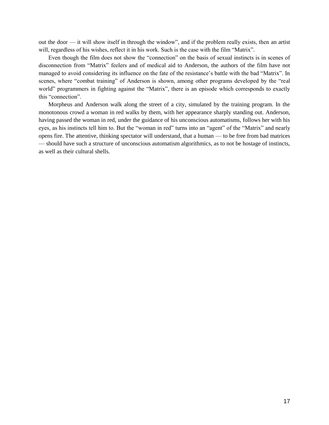out the door — it will show itself in through the window", and if the problem really exists, then an artist will, regardless of his wishes, reflect it in his work. Such is the case with the film "Matrix".

Even though the film does not show the "connection" on the basis of sexual instincts is in scenes of disconnection from "Matrix" feelers and of medical aid to Anderson, the authors of the film have not managed to avoid considering its influence on the fate of the resistance's battle with the bad "Matrix". In scenes, where "combat training" of Anderson is shown, among other programs developed by the "real world" programmers in fighting against the "Matrix", there is an episode which corresponds to exactly this "connection".

Morpheus and Anderson walk along the street of a city, simulated by the training program. In the monotonous crowd a woman in red walks by them, with her appearance sharply standing out. Anderson, having passed the woman in red, under the guidance of his unconscious automatisms, follows her with his eyes, as his instincts tell him to. But the "woman in red" turns into an "agent" of the "Matrix" and nearly opens fire. The attentive, thinking spectator will understand, that a human — to be free from bad matrices — should have such a structure of unconscious automatism algorithmics, as to not be hostage of instincts, as well as their cultural shells.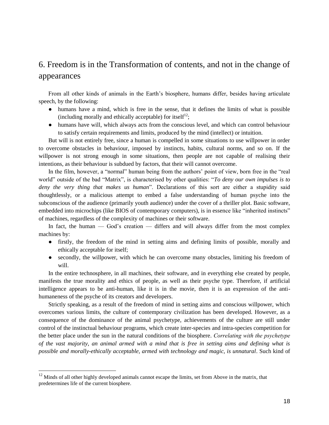## 6. Freedom is in the Transformation of contents, and not in the change of appearances

From all other kinds of animals in the Earth's biosphere, humans differ, besides having articulate speech, by the following:

- humans have a mind, which is free in the sense, that it defines the limits of what is possible (including morally and ethically acceptable) for itself<sup>12</sup>;
- humans have will, which always acts from the conscious level, and which can control behaviour to satisfy certain requirements and limits, produced by the mind (intellect) or intuition.

But will is not entirely free, since a human is compelled in some situations to use willpower in order to overcome obstacles in behaviour, imposed by instincts, habits, cultural norms, and so on. If the willpower is not strong enough in some situations, then people are not capable of realising their intentions, as their behaviour is subdued by factors, that their will cannot overcome.

In the film, however, a "normal" human being from the authors' point of view, born free in the "real world" outside of the bad "Matrix", is characterised by other qualities: "*To deny our own impulses is to* deny the very thing that makes us human". Declarations of this sort are either a stupidity said thoughtlessly, or a malicious attempt to embed a false understanding of human psyche into the subconscious of the audience (primarily youth audience) under the cover of a thriller plot. Basic software, embedded into microchips (like BIOS of contemporary computers), is in essence like "inherited instincts" of machines, regardless of the complexity of machines or their software.

In fact, the human — God's creation — differs and will always differ from the most complex machines by:

- firstly, the freedom of the mind in setting aims and defining limits of possible, morally and ethically acceptable for itself;
- secondly, the willpower, with which he can overcome many obstacles, limiting his freedom of will.

In the entire technosphere, in all machines, their software, and in everything else created by people, manifests the true morality and ethics of people, as well as their psyche type. Therefore, if artificial intelligence appears to be anti-human, like it is in the movie, then it is an expression of the antihumaneness of the psyche of its creators and developers.

Strictly speaking, as a result of the freedom of mind in setting aims and conscious willpower, which overcomes various limits, the culture of contemporary civilization has been developed. However, as a consequence of the dominance of the animal psychetype, achievements of the culture are still under control of the instinctual behaviour programs, which create inter-species and intra-species competition for the better place under the sun in the natural conditions of the biosphere. *Сorrelating with the psychetype of the vast majority, an animal armed with a mind that is free in setting aims and defining what is possible and morally-ethically acceptable, armed with technology and magic, is unnatural*. Such kind of

<sup>&</sup>lt;sup>12</sup> Minds of all other highly developed animals cannot escape the limits, set from Above in the matrix, that predetermines life of the current biosphere.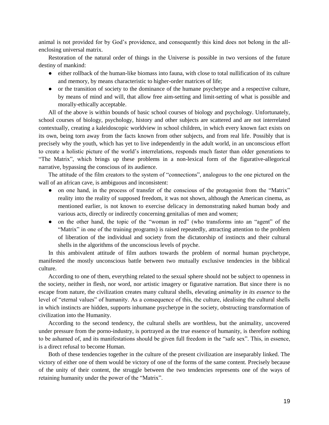animal is not provided for by God's providence, and consequently this kind does not belong in the allenclosing universal matrix.

Restoration of the natural order of things in the Universe is possible in two versions of the future destiny of mankind:

- either rollback of the human-like biomass into fauna, with close to total nullification of its culture and memory, by means characteristic to higher-order matrices of life;
- or the transition of society to the dominance of the humane psychetype and a respective culture, by means of mind and will, that allow free aim-setting and limit-setting of what is possible and morally-ethically acceptable.

All of the above is within bounds of basic school courses of biology and psychology. Unfortunately, school courses of biology, psychology, history and other subjects are scattered and are not interrelated contextually, creating a kaleidoscopic worldview in school children, in which every known fact exists on its own, being torn away from the facts known from other subjects, and from real life. Possibly that is precisely why the youth, which has yet to live independently in the adult world, in an unconscious effort to create a holistic picture of the world's interrelations, responds much faster than older generations to ―The Matrix‖, which brings up these problems in a non-lexical form of the figurative-allegorical narrative, bypassing the conscious of its audience.

The attitude of the film creators to the system of "connections", analogous to the one pictured on the wall of an african cave, is ambiguous and inconsistent:

- on one hand, in the process of transfer of the conscious of the protagonist from the "Matrix" reality into the reality of supposed freedom, it was not shown, although the American cinema, as mentioned earlier, is not known to exercise delicacy in demonstrating naked human body and various acts, directly or indirectly concerning genitalias of men and women;
- on the other hand, the topic of the "woman in red" (who transforms into an "agent" of the ―Matrix‖ in one of the training programs) is raised repeatedly, attracting attention to the problem of liberation of the individual and society from the dictatorship of instincts and their cultural shells in the algorithms of the unconscious levels of psyche.

In this ambivalent attitude of film authors towards the problem of normal human psychetype, manifested the mostly unconscious battle between two mutually exclusive tendencies in the biblical culture.

According to one of them, everything related to the sexual sphere should not be subject to openness in the society, neither in flesh, nor word, nor artistic imagery or figurative narration. But since there is no escape from nature, the civilization creates many cultural shells, elevating *animality in its essence* to the level of "eternal values" of humanity. As a consequence of this, the culture, idealising the cultural shells in which instincts are hidden, supports inhumane psychetype in the society, obstructing transformation of civilization into the Humanity.

According to the second tendency, the cultural shells are worthless, but the animality, uncovered under pressure from the porno-industry, is portrayed as the true essence of humanity, is therefore nothing to be ashamed of, and its manifestations should be given full freedom in the "safe sex". This, in essence, is a direct refusal to become Human.

Both of these tendencies together in the culture of the present civilization are inseparably linked. The victory of either one of them would be victory of one of the forms of the same content. Precisely because of the unity of their content, the struggle between the two tendencies represents one of the ways of retaining humanity under the power of the "Matrix".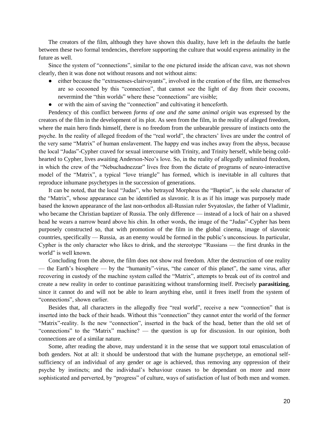The creators of the film, although they have shown this duality, have left in the defaults the battle between these two formal tendencies, therefore supporting the culture that would express animality in the future as well.

Since the system of "connections", similar to the one pictured inside the african cave, was not shown clearly, then it was done not without reasons and not without aims:

- either because the "extrasenses-clairvoyants", involved in the creation of the film, are themselves are so cocooned by this "connection", that cannot see the light of day from their cocoons, nevermind the "thin worlds" where these "connections" are visible;
- or with the aim of saving the "connection" and cultivating it henceforth.

Pendency of this conflict between *forms of one and the same animal origin* was expressed by the creators of the film in the development of its plot. As seen from the film, in the reality of alleged freedom, where the main hero finds himself, there is no freedom from the unbearable pressure of instincts onto the psyche. In the reality of alleged freedom of the "real world", the chracters' lives are under the control of the very same "Matrix" of human enslavement. The happy end was inches away from the abyss, because the local "Judas"-Cypher craved for sexual intercourse with Trinity, and Trinity herself, while being coldhearted to Cypher, lives awaiting Anderson-Neo's love. So, in the reality of allegedly unlimited freedom, in which the crew of the "Nebuchadnezzar" lives free from the dictate of programs of neuro-interactive model of the "Matrix", a typical "love triangle" has formed, which is inevitable in all cultures that reproduce inhumane psychetypes in the succession of generations.

It can be noted, that the local "Judas", who betrayed Morpheus the "Baptist", is the sole character of the "Matrix", whose appearance can be identified as slavonic. It is as if his image was purposely made based the known appearance of the last non-orthodox all-Russian ruler Svyatoslav, the father of Vladimir, who became the Christian baptizer of Russia. The only difference — instead of a lock of hair on a shaved head he wears a narrow beard above his chin. In other words, the image of the "Judas"-Cypher has been purposely constructed so, that with promotion of the film in the global cinema, image of slavonic countries, specifically — Russia, as an enemy would be formed in the public's unconscious. In particular, Cypher is the only character who likes to drink, and the stereotype "Russians — the first drunks in the world" is well known.

Concluding from the above, the film does not show real freedom. After the destruction of one reality — the Earth's biosphere — by the "humanity"-virus, "the cancer of this planet", the same virus, after recovering in custody of the machine system called the "Matrix", attempts to break out of its control and create a new reality in order to continue parasitizing without transforming itself. Precisely **parasitizing**, since it cannot do and will not be able to learn anything else, until it frees itself from the system of "connections", shown earlier.

Besides that, all characters in the allegedly free "real world", receive a new "connection" that is inserted into the back of their heads. Without this "connection" they cannot enter the world of the former "Matrix"-reality. Is the new "connection", inserted in the back of the head, better than the old set of "connections" to the "Matrix" machine? — the question is up for discussion. In our opinion, both connections are of a similar nature.

Some, after reading the above, may understand it in the sense that we support total emasculation of both genders. Not at all: it should be understood that with the humane psychetype, an emotional selfsufficiency of an individual of any gender or age is achieved, thus removing any oppression of their psyche by instincts; and the individual's behaviour ceases to be dependant on more and more sophisticated and perverted, by "progress" of culture, ways of satisfaction of lust of both men and women.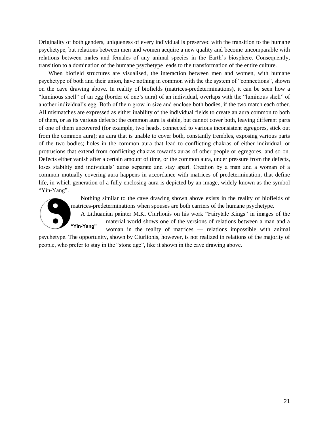Originality of both genders, uniqueness of every individual is preserved with the transition to the humane psychetype, but relations between men and women acquire a new quality and become uncomparable with relations between males and females of any animal species in the Earth's biosphere. Consequently, transition to a domination of the humane psychetype leads to the transformation of the entire culture.

When biofield structures are visualised, the interaction between men and women, with humane psychetype of both and their union, have nothing in common with the the system of "connections", shown on the cave drawing above. In reality of biofields (matrices-predeterminations), it can be seen how a "luminous shell" of an egg (border of one's aura) of an individual, overlaps with the "luminous shell" of another individual's egg. Both of them grow in size and enclose both bodies, if the two match each other. All mismatches are expressed as either inability of the individual fields to create an aura common to both of them, or as its various defects: the common aura is stable, but cannot cover both, leaving different parts of one of them uncovered (for example, two heads, connected to various inconsistent egregores, stick out from the common aura); an aura that is unable to cover both, constantly trembles, exposing various parts of the two bodies; holes in the common aura that lead to conflicting chakras of either individual, or protrusions that extend from conflicting chakras towards auras of other people or egregores, and so on. Defects either vanish after a certain amount of time, or the common aura, under pressure from the defects, loses stability and individuals' auras separate and stay apart. Creation by a man and a woman of a common mutually covering aura happens in accordance with matrices of predetermination, that define life, in which generation of a fully-enclosing aura is depicted by an image, widely known as the symbol "Yin-Yang".



Nothing similar to the cave drawing shown above exists in the reality of biofields of matrices-predeterminations when spouses are both carriers of the humane psychetype.

A Lithuanian painter M.K. Ciurlionis on his work "Fairytale Kings" in images of the material world shows one of the versions of relations between a man and a woman in the reality of matrices — relations impossible with animal **"Yin-Yang"**

psychetype. The opportunity, shown by Ciurlionis, however, is not realized in relations of the majority of people, who prefer to stay in the "stone age", like it shown in the cave drawing above.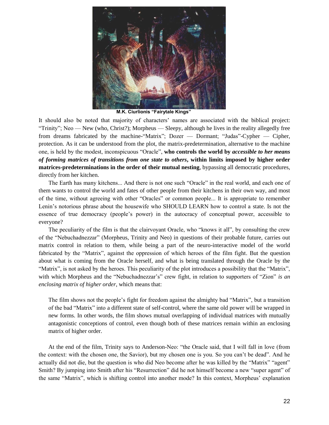

**M.K. Ciurlionis "Fairytale Kings"**

It should also be noted that majority of characters' names are associated with the biblical project: "Trinity"; Neo — New (who, Christ?); Morpheus — Sleepy, although he lives in the reality allegedly free from dreams fabricated by the machine-"Matrix"; Dozer — Dormant; "Judas"-Cypher — Cipher, protection. As it can be understood from the plot, the matrix-predetermination, alternative to the machine one, is held by the modest, inconspicuous "Oracle", who controls the world by *accessible to her means of forming matrices of transitions from one state to others***, within limits imposed by higher order matrices-predeterminations in the order of their mutual nesting**, bypassing all democratic procedures, directly from her kitchen.

The Earth has many kitchens... And there is not one such "Oracle" in the real world, and each one of them wants to control the world and fates of other people from their kitchens in their own way, and most of the time, without agreeing with other "Oracles" or common people... It is appropriate to remember Lenin's notorious phrase about the housewife who SHOULD LEARN how to control a state. Is not the essence of true democracy (people's power) in the autocracy of conceptual power, accessible to everyone?

The peculiarity of the film is that the clairvoyant Oracle, who "knows it all", by consulting the crew of the "Nebuchadnezzar" (Morpheus, Trinity and Neo) in questions of their probable future, carries out matrix control in relation to them, while being a part of the neuro-interactive model of the world fabricated by the "Matrix", against the oppression of which heroes of the film fight. But the question about what is coming from the Oracle herself, and what is being translated through the Oracle by the "Matrix", is not asked by the heroes. This peculiarity of the plot introduces a possibility that the "Matrix", with which Morpheus and the "Nebuchadnezzar's" crew fight, in relation to supporters of "Zion" *is an enclosing matrix of higher order*, which means that:

The film shows not the people's fight for freedom against the almighty bad "Matrix", but a transition of the bad "Matrix" into a different state of self-control, where the same old power will be wrapped in new forms. In other words, the film shows mutual overlapping of individual matrices with mutually antagonistic conceptions of control, even though both of these matrices remain within an enclosing matrix of higher order.

At the end of the film, Trinity says to Anderson-Neo: "the Oracle said, that I will fall in love (from the context: with the chosen one, the Savior), but my chosen one is you. So you can't be dead". And he actually did not die, but the question is who did Neo become after he was killed by the "Matrix" "agent" Smith? By jumping into Smith after his "Resurrection" did he not himself become a new "super agent" of the same "Matrix", which is shifting control into another mode? In this context, Morpheus' explanation